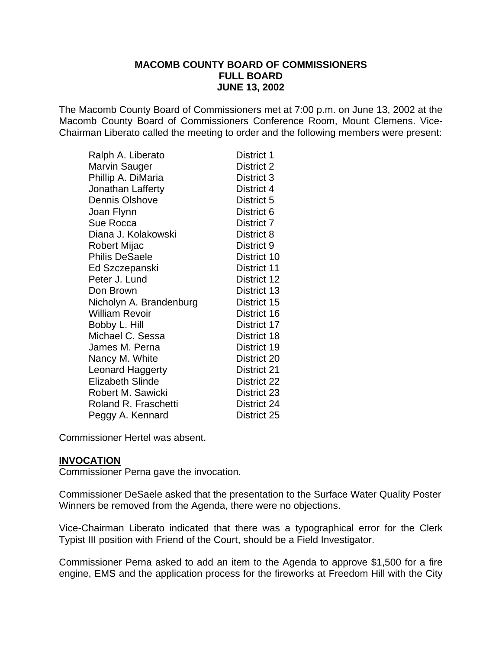The Macomb County Board of Commissioners met at 7:00 p.m. on June 13, 2002 at the Macomb County Board of Commissioners Conference Room, Mount Clemens. Vice-Chairman Liberato called the meeting to order and the following members were present:

| Ralph A. Liberato       | District 1  |
|-------------------------|-------------|
| Marvin Sauger           | District 2  |
| Phillip A. DiMaria      | District 3  |
| Jonathan Lafferty       | District 4  |
| <b>Dennis Olshove</b>   | District 5  |
| Joan Flynn              | District 6  |
| Sue Rocca               | District 7  |
| Diana J. Kolakowski     | District 8  |
| Robert Mijac            | District 9  |
| <b>Philis DeSaele</b>   | District 10 |
| Ed Szczepanski          | District 11 |
| Peter J. Lund           | District 12 |
| Don Brown               | District 13 |
| Nicholyn A. Brandenburg | District 15 |
| <b>William Revoir</b>   | District 16 |
| Bobby L. Hill           | District 17 |
| Michael C. Sessa        | District 18 |
| James M. Perna          | District 19 |
| Nancy M. White          | District 20 |
| Leonard Haggerty        | District 21 |
| <b>Elizabeth Slinde</b> | District 22 |
| Robert M. Sawicki       | District 23 |
| Roland R. Fraschetti    | District 24 |
| Peggy A. Kennard        | District 25 |

Commissioner Hertel was absent.

#### **INVOCATION**

Commissioner Perna gave the invocation.

Commissioner DeSaele asked that the presentation to the Surface Water Quality Poster Winners be removed from the Agenda, there were no objections.

Vice-Chairman Liberato indicated that there was a typographical error for the Clerk Typist III position with Friend of the Court, should be a Field Investigator.

Commissioner Perna asked to add an item to the Agenda to approve \$1,500 for a fire engine, EMS and the application process for the fireworks at Freedom Hill with the City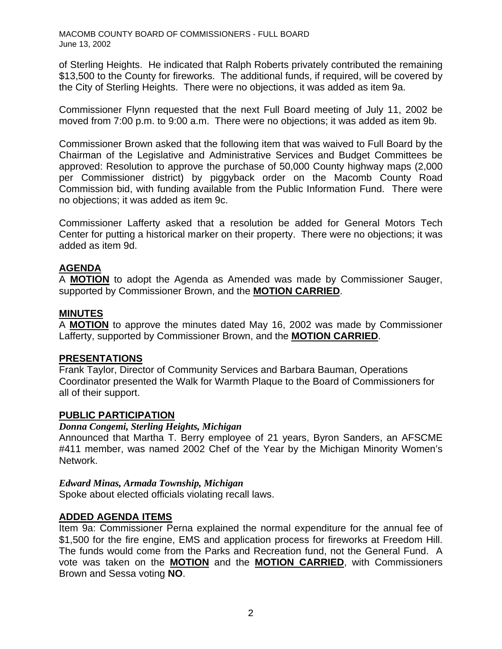of Sterling Heights. He indicated that Ralph Roberts privately contributed the remaining \$13,500 to the County for fireworks. The additional funds, if required, will be covered by the City of Sterling Heights. There were no objections, it was added as item 9a.

Commissioner Flynn requested that the next Full Board meeting of July 11, 2002 be moved from 7:00 p.m. to 9:00 a.m. There were no objections; it was added as item 9b.

Commissioner Brown asked that the following item that was waived to Full Board by the Chairman of the Legislative and Administrative Services and Budget Committees be approved: Resolution to approve the purchase of 50,000 County highway maps (2,000 per Commissioner district) by piggyback order on the Macomb County Road Commission bid, with funding available from the Public Information Fund. There were no objections; it was added as item 9c.

Commissioner Lafferty asked that a resolution be added for General Motors Tech Center for putting a historical marker on their property. There were no objections; it was added as item 9d.

# **AGENDA**

A **MOTION** to adopt the Agenda as Amended was made by Commissioner Sauger, supported by Commissioner Brown, and the **MOTION CARRIED**.

#### **MINUTES**

A **MOTION** to approve the minutes dated May 16, 2002 was made by Commissioner Lafferty, supported by Commissioner Brown, and the **MOTION CARRIED**.

### **PRESENTATIONS**

Frank Taylor, Director of Community Services and Barbara Bauman, Operations Coordinator presented the Walk for Warmth Plaque to the Board of Commissioners for all of their support.

### **PUBLIC PARTICIPATION**

#### *Donna Congemi, Sterling Heights, Michigan*

Announced that Martha T. Berry employee of 21 years, Byron Sanders, an AFSCME #411 member, was named 2002 Chef of the Year by the Michigan Minority Women's Network.

#### *Edward Minas, Armada Township, Michigan*

Spoke about elected officials violating recall laws.

### **ADDED AGENDA ITEMS**

Item 9a: Commissioner Perna explained the normal expenditure for the annual fee of \$1,500 for the fire engine, EMS and application process for fireworks at Freedom Hill. The funds would come from the Parks and Recreation fund, not the General Fund. A vote was taken on the **MOTION** and the **MOTION CARRIED**, with Commissioners Brown and Sessa voting **NO**.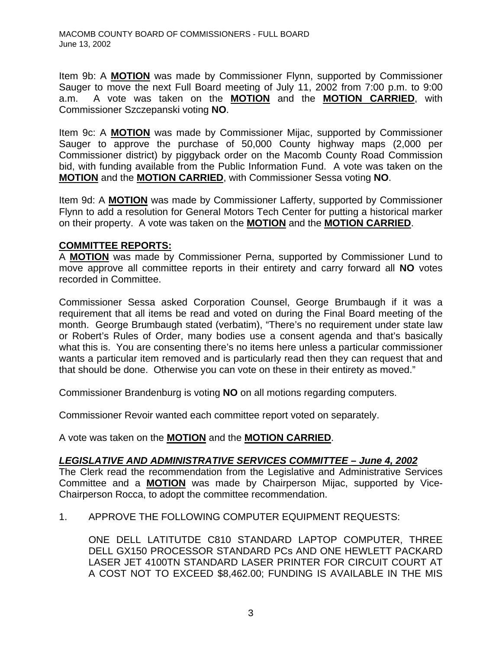Item 9b: A **MOTION** was made by Commissioner Flynn, supported by Commissioner Sauger to move the next Full Board meeting of July 11, 2002 from 7:00 p.m. to 9:00 a.m. A vote was taken on the **MOTION** and the **MOTION CARRIED**, with Commissioner Szczepanski voting **NO**.

Item 9c: A **MOTION** was made by Commissioner Mijac, supported by Commissioner Sauger to approve the purchase of 50,000 County highway maps (2,000 per Commissioner district) by piggyback order on the Macomb County Road Commission bid, with funding available from the Public Information Fund. A vote was taken on the **MOTION** and the **MOTION CARRIED**, with Commissioner Sessa voting **NO**.

Item 9d: A **MOTION** was made by Commissioner Lafferty, supported by Commissioner Flynn to add a resolution for General Motors Tech Center for putting a historical marker on their property. A vote was taken on the **MOTION** and the **MOTION CARRIED**.

## **COMMITTEE REPORTS:**

A **MOTION** was made by Commissioner Perna, supported by Commissioner Lund to move approve all committee reports in their entirety and carry forward all **NO** votes recorded in Committee.

Commissioner Sessa asked Corporation Counsel, George Brumbaugh if it was a requirement that all items be read and voted on during the Final Board meeting of the month. George Brumbaugh stated (verbatim), "There's no requirement under state law or Robert's Rules of Order, many bodies use a consent agenda and that's basically what this is. You are consenting there's no items here unless a particular commissioner wants a particular item removed and is particularly read then they can request that and that should be done. Otherwise you can vote on these in their entirety as moved."

Commissioner Brandenburg is voting **NO** on all motions regarding computers.

Commissioner Revoir wanted each committee report voted on separately.

A vote was taken on the **MOTION** and the **MOTION CARRIED**.

# *LEGISLATIVE AND ADMINISTRATIVE SERVICES COMMITTEE – June 4, 2002*

The Clerk read the recommendation from the Legislative and Administrative Services Committee and a **MOTION** was made by Chairperson Mijac, supported by Vice-Chairperson Rocca, to adopt the committee recommendation.

1. APPROVE THE FOLLOWING COMPUTER EQUIPMENT REQUESTS:

ONE DELL LATITUTDE C810 STANDARD LAPTOP COMPUTER, THREE DELL GX150 PROCESSOR STANDARD PCs AND ONE HEWLETT PACKARD LASER JET 4100TN STANDARD LASER PRINTER FOR CIRCUIT COURT AT A COST NOT TO EXCEED \$8,462.00; FUNDING IS AVAILABLE IN THE MIS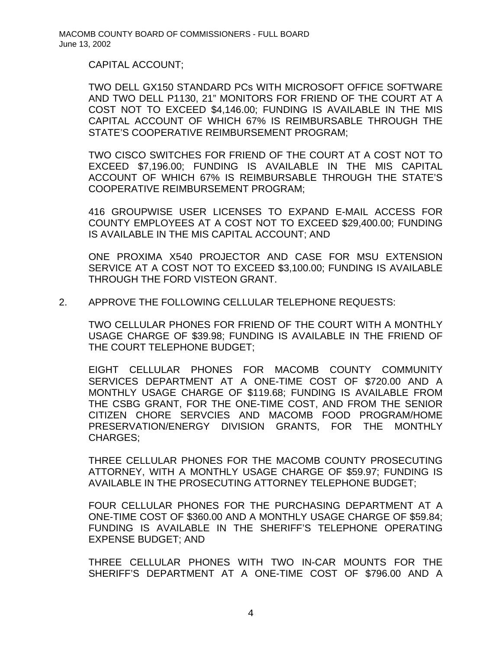CAPITAL ACCOUNT;

TWO DELL GX150 STANDARD PCs WITH MICROSOFT OFFICE SOFTWARE AND TWO DELL P1130, 21" MONITORS FOR FRIEND OF THE COURT AT A COST NOT TO EXCEED \$4,146.00; FUNDING IS AVAILABLE IN THE MIS CAPITAL ACCOUNT OF WHICH 67% IS REIMBURSABLE THROUGH THE STATE'S COOPERATIVE REIMBURSEMENT PROGRAM;

TWO CISCO SWITCHES FOR FRIEND OF THE COURT AT A COST NOT TO EXCEED \$7,196.00; FUNDING IS AVAILABLE IN THE MIS CAPITAL ACCOUNT OF WHICH 67% IS REIMBURSABLE THROUGH THE STATE'S COOPERATIVE REIMBURSEMENT PROGRAM;

416 GROUPWISE USER LICENSES TO EXPAND E-MAIL ACCESS FOR COUNTY EMPLOYEES AT A COST NOT TO EXCEED \$29,400.00; FUNDING IS AVAILABLE IN THE MIS CAPITAL ACCOUNT; AND

ONE PROXIMA X540 PROJECTOR AND CASE FOR MSU EXTENSION SERVICE AT A COST NOT TO EXCEED \$3,100.00; FUNDING IS AVAILABLE THROUGH THE FORD VISTEON GRANT.

2. APPROVE THE FOLLOWING CELLULAR TELEPHONE REQUESTS:

TWO CELLULAR PHONES FOR FRIEND OF THE COURT WITH A MONTHLY USAGE CHARGE OF \$39.98; FUNDING IS AVAILABLE IN THE FRIEND OF THE COURT TELEPHONE BUDGET;

EIGHT CELLULAR PHONES FOR MACOMB COUNTY COMMUNITY SERVICES DEPARTMENT AT A ONE-TIME COST OF \$720.00 AND A MONTHLY USAGE CHARGE OF \$119.68; FUNDING IS AVAILABLE FROM THE CSBG GRANT, FOR THE ONE-TIME COST, AND FROM THE SENIOR CITIZEN CHORE SERVCIES AND MACOMB FOOD PROGRAM/HOME PRESERVATION/ENERGY DIVISION GRANTS, FOR THE MONTHLY CHARGES;

THREE CELLULAR PHONES FOR THE MACOMB COUNTY PROSECUTING ATTORNEY, WITH A MONTHLY USAGE CHARGE OF \$59.97; FUNDING IS AVAILABLE IN THE PROSECUTING ATTORNEY TELEPHONE BUDGET;

FOUR CELLULAR PHONES FOR THE PURCHASING DEPARTMENT AT A ONE-TIME COST OF \$360.00 AND A MONTHLY USAGE CHARGE OF \$59.84; FUNDING IS AVAILABLE IN THE SHERIFF'S TELEPHONE OPERATING EXPENSE BUDGET; AND

THREE CELLULAR PHONES WITH TWO IN-CAR MOUNTS FOR THE SHERIFF'S DEPARTMENT AT A ONE-TIME COST OF \$796.00 AND A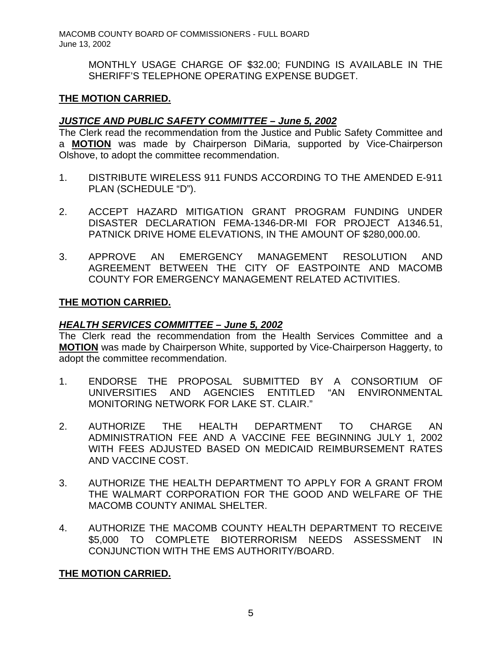> MONTHLY USAGE CHARGE OF \$32.00; FUNDING IS AVAILABLE IN THE SHERIFF'S TELEPHONE OPERATING EXPENSE BUDGET.

## **THE MOTION CARRIED.**

## *JUSTICE AND PUBLIC SAFETY COMMITTEE – June 5, 2002*

The Clerk read the recommendation from the Justice and Public Safety Committee and a **MOTION** was made by Chairperson DiMaria, supported by Vice-Chairperson Olshove, to adopt the committee recommendation.

- 1. DISTRIBUTE WIRELESS 911 FUNDS ACCORDING TO THE AMENDED E-911 PLAN (SCHEDULE "D").
- 2. ACCEPT HAZARD MITIGATION GRANT PROGRAM FUNDING UNDER DISASTER DECLARATION FEMA-1346-DR-MI FOR PROJECT A1346.51, PATNICK DRIVE HOME ELEVATIONS, IN THE AMOUNT OF \$280,000.00.
- 3. APPROVE AN EMERGENCY MANAGEMENT RESOLUTION AND AGREEMENT BETWEEN THE CITY OF EASTPOINTE AND MACOMB COUNTY FOR EMERGENCY MANAGEMENT RELATED ACTIVITIES.

## **THE MOTION CARRIED.**

### *HEALTH SERVICES COMMITTEE – June 5, 2002*

The Clerk read the recommendation from the Health Services Committee and a **MOTION** was made by Chairperson White, supported by Vice-Chairperson Haggerty, to adopt the committee recommendation.

- 1. ENDORSE THE PROPOSAL SUBMITTED BY A CONSORTIUM OF UNIVERSITIES AND AGENCIES ENTITLED "AN ENVIRONMENTAL MONITORING NETWORK FOR LAKE ST. CLAIR."
- 2. AUTHORIZE THE HEALTH DEPARTMENT TO CHARGE AN ADMINISTRATION FEE AND A VACCINE FEE BEGINNING JULY 1, 2002 WITH FEES ADJUSTED BASED ON MEDICAID REIMBURSEMENT RATES AND VACCINE COST.
- 3. AUTHORIZE THE HEALTH DEPARTMENT TO APPLY FOR A GRANT FROM THE WALMART CORPORATION FOR THE GOOD AND WELFARE OF THE MACOMB COUNTY ANIMAL SHELTER.
- 4. AUTHORIZE THE MACOMB COUNTY HEALTH DEPARTMENT TO RECEIVE \$5,000 TO COMPLETE BIOTERRORISM NEEDS ASSESSMENT IN CONJUNCTION WITH THE EMS AUTHORITY/BOARD.

# **THE MOTION CARRIED.**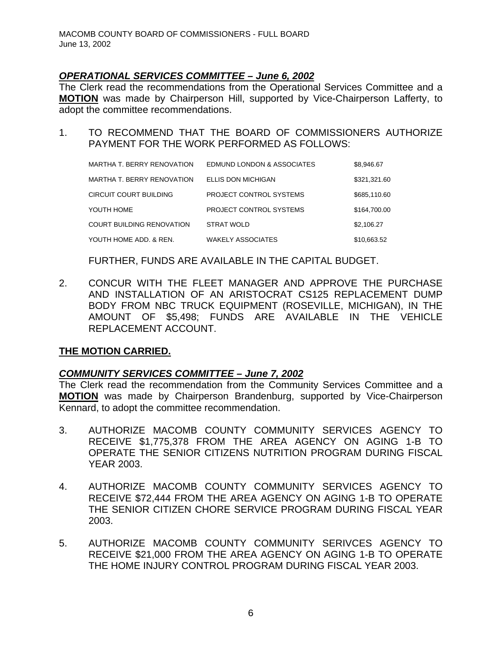## *OPERATIONAL SERVICES COMMITTEE – June 6, 2002*

The Clerk read the recommendations from the Operational Services Committee and a **MOTION** was made by Chairperson Hill, supported by Vice-Chairperson Lafferty, to adopt the committee recommendations.

1. TO RECOMMEND THAT THE BOARD OF COMMISSIONERS AUTHORIZE PAYMENT FOR THE WORK PERFORMED AS FOLLOWS:

| MARTHA T. BERRY RENOVATION | EDMUND LONDON & ASSOCIATES | \$8,946.67   |
|----------------------------|----------------------------|--------------|
| MARTHA T. BERRY RENOVATION | <b>ELLIS DON MICHIGAN</b>  | \$321,321.60 |
| CIRCUIT COURT BUILDING     | PROJECT CONTROL SYSTEMS    | \$685,110.60 |
| YOUTH HOME                 | PROJECT CONTROL SYSTEMS    | \$164.700.00 |
| COURT BUILDING RENOVATION  | <b>STRAT WOLD</b>          | \$2,106.27   |
| YOUTH HOME ADD. & REN.     | <b>WAKELY ASSOCIATES</b>   | \$10,663.52  |

FURTHER, FUNDS ARE AVAILABLE IN THE CAPITAL BUDGET.

2. CONCUR WITH THE FLEET MANAGER AND APPROVE THE PURCHASE AND INSTALLATION OF AN ARISTOCRAT CS125 REPLACEMENT DUMP BODY FROM NBC TRUCK EQUIPMENT (ROSEVILLE, MICHIGAN), IN THE AMOUNT OF \$5,498; FUNDS ARE AVAILABLE IN THE VEHICLE REPLACEMENT ACCOUNT.

### **THE MOTION CARRIED.**

### *COMMUNITY SERVICES COMMITTEE – June 7, 2002*

The Clerk read the recommendation from the Community Services Committee and a **MOTION** was made by Chairperson Brandenburg, supported by Vice-Chairperson Kennard, to adopt the committee recommendation.

- 3. AUTHORIZE MACOMB COUNTY COMMUNITY SERVICES AGENCY TO RECEIVE \$1,775,378 FROM THE AREA AGENCY ON AGING 1-B TO OPERATE THE SENIOR CITIZENS NUTRITION PROGRAM DURING FISCAL YEAR 2003.
- 4. AUTHORIZE MACOMB COUNTY COMMUNITY SERVICES AGENCY TO RECEIVE \$72,444 FROM THE AREA AGENCY ON AGING 1-B TO OPERATE THE SENIOR CITIZEN CHORE SERVICE PROGRAM DURING FISCAL YEAR 2003.
- 5. AUTHORIZE MACOMB COUNTY COMMUNITY SERIVCES AGENCY TO RECEIVE \$21,000 FROM THE AREA AGENCY ON AGING 1-B TO OPERATE THE HOME INJURY CONTROL PROGRAM DURING FISCAL YEAR 2003.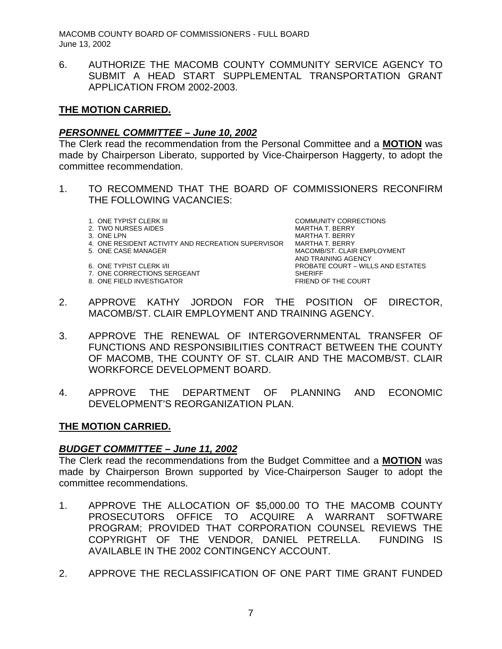6. AUTHORIZE THE MACOMB COUNTY COMMUNITY SERVICE AGENCY TO SUBMIT A HEAD START SUPPLEMENTAL TRANSPORTATION GRANT APPLICATION FROM 2002-2003.

## **THE MOTION CARRIED.**

## *PERSONNEL COMMITTEE – June 10, 2002*

The Clerk read the recommendation from the Personal Committee and a **MOTION** was made by Chairperson Liberato, supported by Vice-Chairperson Haggerty, to adopt the committee recommendation.

- 1. TO RECOMMEND THAT THE BOARD OF COMMISSIONERS RECONFIRM THE FOLLOWING VACANCIES:
	-
	- 2. TWO NURSES AIDES AND ANNOUNCED AT A MARTHA T. BERRY
	-
	- 4. ONE RESIDENT ACTIVITY AND RECREATION SUPERVISOR MARTHA T. BERRY<br>5. ONE CASE MANAGER MARIER MACOMB/ST. CLAIR
	-
	-
	-
	- 8. ONE FIELD INVESTIGATOR

1. ONE TYPIST CLERK III COMMUNITY CORRECTIONS 3. ONE LPN MARTHA T. BERRY MACOMB/ST. CLAIR EMPLOYMENT AND TRAINING AGENCY 6. ONE TYPIST CLERK I/II PROBATE COURT – WILLS AND ESTATES 7. ONE CORRECTIONS SERGEANT<br>8. ONE FIELD INVESTIGATOR<br>SHERIFF BRIEND OF THE COURT

- 2. APPROVE KATHY JORDON FOR THE POSITION OF DIRECTOR, MACOMB/ST. CLAIR EMPLOYMENT AND TRAINING AGENCY.
- 3. APPROVE THE RENEWAL OF INTERGOVERNMENTAL TRANSFER OF FUNCTIONS AND RESPONSIBILITIES CONTRACT BETWEEN THE COUNTY OF MACOMB, THE COUNTY OF ST. CLAIR AND THE MACOMB/ST. CLAIR WORKFORCE DEVELOPMENT BOARD.
- 4. APPROVE THE DEPARTMENT OF PLANNING AND ECONOMIC DEVELOPMENT'S REORGANIZATION PLAN.

### **THE MOTION CARRIED.**

### *BUDGET COMMITTEE – June 11, 2002*

The Clerk read the recommendations from the Budget Committee and a **MOTION** was made by Chairperson Brown supported by Vice-Chairperson Sauger to adopt the committee recommendations.

- 1. APPROVE THE ALLOCATION OF \$5,000.00 TO THE MACOMB COUNTY PROSECUTORS OFFICE TO ACQUIRE A WARRANT SOFTWARE PROGRAM; PROVIDED THAT CORPORATION COUNSEL REVIEWS THE COPYRIGHT OF THE VENDOR, DANIEL PETRELLA. FUNDING IS AVAILABLE IN THE 2002 CONTINGENCY ACCOUNT.
- 2. APPROVE THE RECLASSIFICATION OF ONE PART TIME GRANT FUNDED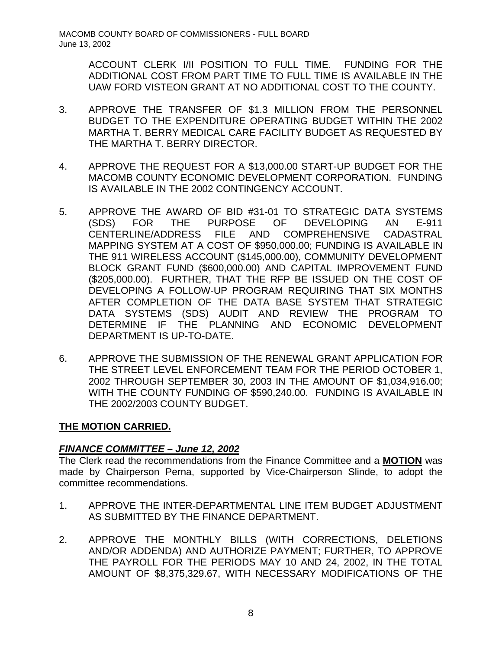ACCOUNT CLERK I/II POSITION TO FULL TIME. FUNDING FOR THE ADDITIONAL COST FROM PART TIME TO FULL TIME IS AVAILABLE IN THE UAW FORD VISTEON GRANT AT NO ADDITIONAL COST TO THE COUNTY.

- 3. APPROVE THE TRANSFER OF \$1.3 MILLION FROM THE PERSONNEL BUDGET TO THE EXPENDITURE OPERATING BUDGET WITHIN THE 2002 MARTHA T. BERRY MEDICAL CARE FACILITY BUDGET AS REQUESTED BY THE MARTHA T. BERRY DIRECTOR.
- 4. APPROVE THE REQUEST FOR A \$13,000.00 START-UP BUDGET FOR THE MACOMB COUNTY ECONOMIC DEVELOPMENT CORPORATION. FUNDING IS AVAILABLE IN THE 2002 CONTINGENCY ACCOUNT.
- 5. APPROVE THE AWARD OF BID #31-01 TO STRATEGIC DATA SYSTEMS (SDS) FOR THE PURPOSE OF DEVELOPING AN E-911 CENTERLINE/ADDRESS FILE AND COMPREHENSIVE CADASTRAL MAPPING SYSTEM AT A COST OF \$950,000.00; FUNDING IS AVAILABLE IN THE 911 WIRELESS ACCOUNT (\$145,000.00), COMMUNITY DEVELOPMENT BLOCK GRANT FUND (\$600,000.00) AND CAPITAL IMPROVEMENT FUND (\$205,000.00). FURTHER, THAT THE RFP BE ISSUED ON THE COST OF DEVELOPING A FOLLOW-UP PROGRAM REQUIRING THAT SIX MONTHS AFTER COMPLETION OF THE DATA BASE SYSTEM THAT STRATEGIC DATA SYSTEMS (SDS) AUDIT AND REVIEW THE PROGRAM TO DETERMINE IF THE PLANNING AND ECONOMIC DEVELOPMENT DEPARTMENT IS UP-TO-DATE.
- 6. APPROVE THE SUBMISSION OF THE RENEWAL GRANT APPLICATION FOR THE STREET LEVEL ENFORCEMENT TEAM FOR THE PERIOD OCTOBER 1, 2002 THROUGH SEPTEMBER 30, 2003 IN THE AMOUNT OF \$1,034,916.00; WITH THE COUNTY FUNDING OF \$590,240.00. FUNDING IS AVAILABLE IN THE 2002/2003 COUNTY BUDGET.

# **THE MOTION CARRIED.**

# *FINANCE COMMITTEE – June 12, 2002*

The Clerk read the recommendations from the Finance Committee and a **MOTION** was made by Chairperson Perna, supported by Vice-Chairperson Slinde, to adopt the committee recommendations.

- 1. APPROVE THE INTER-DEPARTMENTAL LINE ITEM BUDGET ADJUSTMENT AS SUBMITTED BY THE FINANCE DEPARTMENT.
- 2. APPROVE THE MONTHLY BILLS (WITH CORRECTIONS, DELETIONS AND/OR ADDENDA) AND AUTHORIZE PAYMENT; FURTHER, TO APPROVE THE PAYROLL FOR THE PERIODS MAY 10 AND 24, 2002, IN THE TOTAL AMOUNT OF \$8,375,329.67, WITH NECESSARY MODIFICATIONS OF THE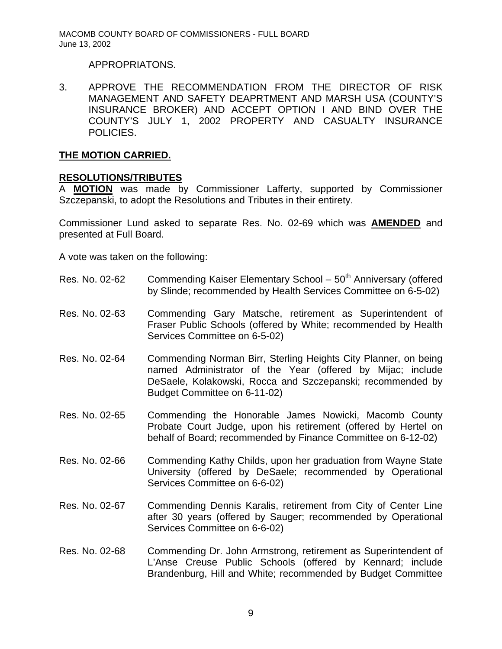### APPROPRIATONS.

3. APPROVE THE RECOMMENDATION FROM THE DIRECTOR OF RISK MANAGEMENT AND SAFETY DEAPRTMENT AND MARSH USA (COUNTY'S INSURANCE BROKER) AND ACCEPT OPTION I AND BIND OVER THE COUNTY'S JULY 1, 2002 PROPERTY AND CASUALTY INSURANCE POLICIES.

### **THE MOTION CARRIED.**

#### **RESOLUTIONS/TRIBUTES**

A **MOTION** was made by Commissioner Lafferty, supported by Commissioner Szczepanski, to adopt the Resolutions and Tributes in their entirety.

Commissioner Lund asked to separate Res. No. 02-69 which was **AMENDED** and presented at Full Board.

A vote was taken on the following:

- Res. No. 02-62 Commending Kaiser Elementary School  $-50<sup>th</sup>$  Anniversary (offered by Slinde; recommended by Health Services Committee on 6-5-02)
- Res. No. 02-63 Commending Gary Matsche, retirement as Superintendent of Fraser Public Schools (offered by White; recommended by Health Services Committee on 6-5-02)
- Res. No. 02-64 Commending Norman Birr, Sterling Heights City Planner, on being named Administrator of the Year (offered by Mijac; include DeSaele, Kolakowski, Rocca and Szczepanski; recommended by Budget Committee on 6-11-02)
- Res. No. 02-65 Commending the Honorable James Nowicki, Macomb County Probate Court Judge, upon his retirement (offered by Hertel on behalf of Board; recommended by Finance Committee on 6-12-02)
- Res. No. 02-66 Commending Kathy Childs, upon her graduation from Wayne State University (offered by DeSaele; recommended by Operational Services Committee on 6-6-02)
- Res. No. 02-67 Commending Dennis Karalis, retirement from City of Center Line after 30 years (offered by Sauger; recommended by Operational Services Committee on 6-6-02)
- Res. No. 02-68 Commending Dr. John Armstrong, retirement as Superintendent of L'Anse Creuse Public Schools (offered by Kennard; include Brandenburg, Hill and White; recommended by Budget Committee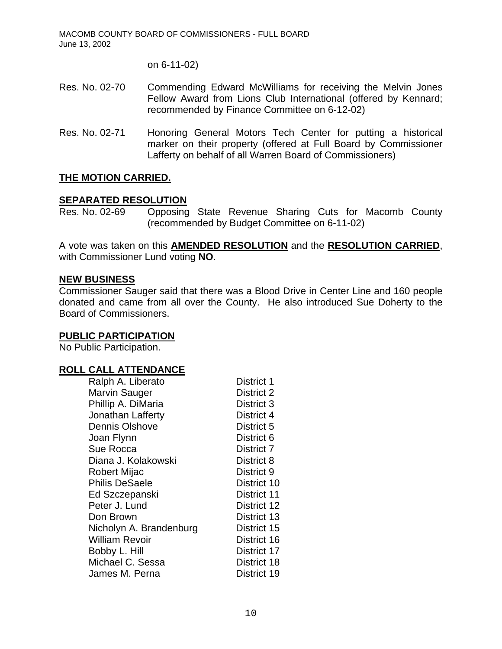on 6-11-02)

- Res. No. 02-70 Commending Edward McWilliams for receiving the Melvin Jones Fellow Award from Lions Club International (offered by Kennard; recommended by Finance Committee on 6-12-02)
- Res. No. 02-71 Honoring General Motors Tech Center for putting a historical marker on their property (offered at Full Board by Commissioner Lafferty on behalf of all Warren Board of Commissioners)

#### **THE MOTION CARRIED.**

#### **SEPARATED RESOLUTION**

Res. No. 02-69 Opposing State Revenue Sharing Cuts for Macomb County (recommended by Budget Committee on 6-11-02)

A vote was taken on this **AMENDED RESOLUTION** and the **RESOLUTION CARRIED**, with Commissioner Lund voting **NO**.

#### **NEW BUSINESS**

Commissioner Sauger said that there was a Blood Drive in Center Line and 160 people donated and came from all over the County. He also introduced Sue Doherty to the Board of Commissioners.

#### **PUBLIC PARTICIPATION**

No Public Participation.

#### **ROLL CALL ATTENDANCE**

| Ralph A. Liberato       | District 1  |
|-------------------------|-------------|
| <b>Marvin Sauger</b>    | District 2  |
| Phillip A. DiMaria      | District 3  |
| Jonathan Lafferty       | District 4  |
| <b>Dennis Olshove</b>   | District 5  |
| Joan Flynn              | District 6  |
| Sue Rocca               | District 7  |
| Diana J. Kolakowski     | District 8  |
| Robert Mijac            | District 9  |
| <b>Philis DeSaele</b>   | District 10 |
| Ed Szczepanski          | District 11 |
| Peter J. Lund           | District 12 |
| Don Brown               | District 13 |
| Nicholyn A. Brandenburg | District 15 |
| William Revoir          | District 16 |
| Bobby L. Hill           | District 17 |
| Michael C. Sessa        | District 18 |
| James M. Perna          | District 19 |